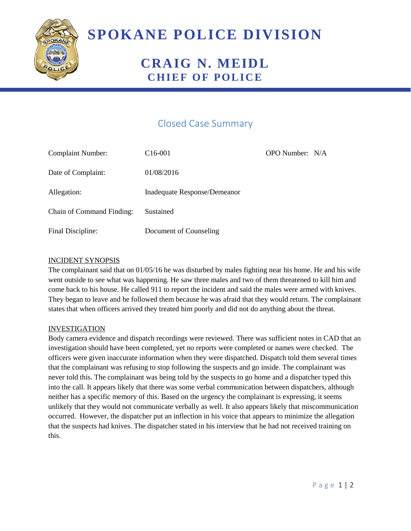

# **SPOKANE POLICE DIVISION**

## **CRAIG N. MEIDL CHIEF OF POLICE**

### Closed Case Summary

| <b>Complaint Number:</b>         | C <sub>16</sub> -001         | OPO Number: N/A |  |
|----------------------------------|------------------------------|-----------------|--|
| Date of Complaint:               | 01/08/2016                   |                 |  |
| Allegation:                      | Inadequate Response/Demeanor |                 |  |
| <b>Chain of Command Finding:</b> | Sustained                    |                 |  |
| Final Discipline:                | Document of Counseling       |                 |  |

#### INCIDENT SYNOPSIS

The complainant said that on 01/05/16 he was disturbed by males fighting near his home. He and his wife went outside to see what was happening. He saw three males and two of them threatened to kill him and come back to his house. He called 911 to report the incident and said the males were armed with knives. They began to leave and he followed them because he was afraid that they would return. The complainant states that when officers arrived they treated him poorly and did not do anything about the threat.

#### **INVESTIGATION**

Body camera evidence and dispatch recordings were reviewed. There was sufficient notes in CAD that an investigation should have been completed, yet no reports were completed or names were checked. The officers were given inaccurate information when they were dispatched. Dispatch told them several times that the complainant was refusing to stop following the suspects and go inside. The complainant was never told this. The complainant was being told by the suspects to go home and a dispatcher typed this into the call. It appears likely that there was some verbal communication between dispatchers, although neither has a specific memory of this. Based on the urgency the complainant is expressing, it seems unlikely that they would not communicate verbally as well. It also appears likely that miscommunication occurred. However, the dispatcher put an inflection in his voice that appears to minimize the allegation that the suspects had knives. The dispatcher stated in his interview that he had not received training on this.